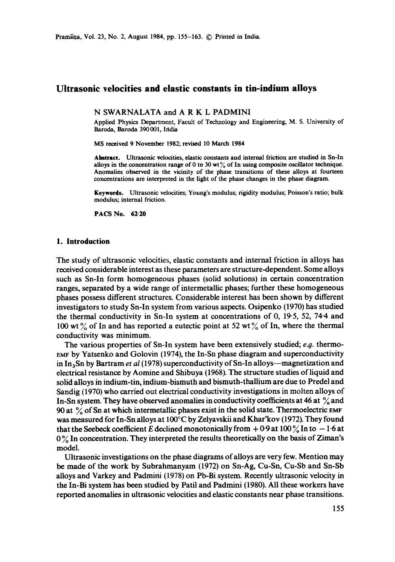# **Ultrasonic velocities and elastic constants in tin-indium alloys**

### N SWARNALATA and A R K L PADMINI

Applied Physics Department, Facult of Technology and Engineering, M. S. University of Baroda, Baroda 390001, Ifidia

MS received 9 November 1982; revised 10 March 1984

Abstract. Ultrasonic velocities, elastic constants and internal friction are studied in Sn-In alloys in the concentration range of 0 to 30 wt $\frac{9}{6}$  of In using composite oscillator technique. Anomalies observed in the vicinity of the phase transitions of these alloys at fourteen concentrations are interpreted in the light of the phase changes in the phase diagram.

**Keywords.** Ultrasonic velocities; Young's modulus; rigidity modulus; Poisson's ratio; bulk modulus; internal friction.

PACS No. **62-20** 

### **1. Introduction**

The study of ultrasonic velocities, elastic constants and internal friction in alloys has received considerable interest as these parameters are structure-dependent. Some alloys such as Sn-In form homogeneous phases (solid solutions) in certain concentration ranges, separated by a wide range of intermetallic phases; further these homogeneous phases possess different structures. Considerable interest has been shown by different investigators to study Sn-In system from various aspects. Osipenko (1970) has studied the thermal conductivity in Sn-In system at concentrations of 0, 19-5, 52, 74.4 and 100 wt  $\%$  of In and has reported a eutectic point at 52 wt  $\%$  of In, where the thermal conductivity was minimum.

The various properties of Sn-In system have been extensively studied; *e.g.* thermo-EMF by Yatsenko and Golovin (1974), the In-Sn phase diagram and superconductivity in In<sub>3</sub>Sn by Bartram *et al* (1978) superconductivity of Sn-In alloys—magnetization and electrical resistance by Aomine and Shibuya (1968). The structure studies of liquid and solid alloys in indium-tin, indium-bismuth and bismuth-thallium are due to Predel and Sandig (1970) who carried out electrical conductivity investigations in molten alloys of In-Sn system. They have observed anomalies in conductivity coefficients at 46 at  $\%$  and 90 at  $\%$  of Sn at which intermetallic phases exist in the solid state. Thermoelectric EMF was measured for In-Sn alloys at 100°C by Zelyavskii and Khar'kov (1972). They found that the Seebeck coefficient E declined monotonically from  $+0.9$  at 100  $\%$  In to  $-1.6$  at  $0\%$  In concentration. They interpreted the results theoretically on the basis of Ziman's model.

Ultrasonic investigations on the phase diagrams of alloys are very few. Mention may be made of the work by Subrahmanyam (1972) on Sn-Ag, Cu-Sn, Cu-Sb and Sn-Sb alloys and Varkey and Padmini (1978) on Pb-Bi system. Recently ultrasonic velocity in the In-Bi system has been studied by Patil and Padmini (1980). All these workers have reported anomalies in ultrasonic velocities and elastic constants near phase transitions.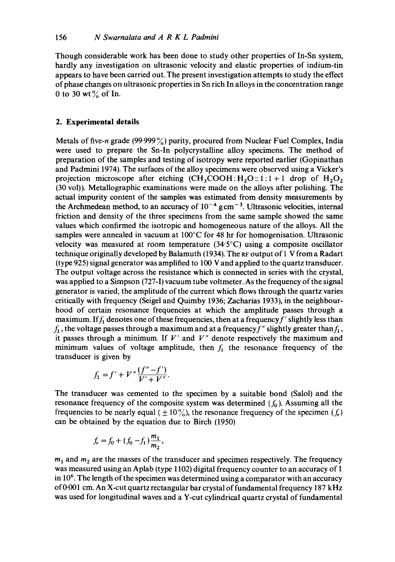Though considerable work has been done to study other properties of In-Sn system, hardly any investigation on ultrasonic velocity and elastic properties of indium-tin appears to have been carried out. The present investigation attempts to study the effect of phase changes on ultrasonic properties in Sn rich In alloys in the concentration range 0 to 30 wt $\%$  of In.

## **2. Experimental details**

Metals of five-n grade (99.999 $\frac{9}{6}$ ) purity, procured from Nuclear Fuel Complex, India were used to prepare the Sn-In polycrystalline alloy specimens. The method of preparation of the samples and testing of isotropy were reported earlier (Gopinathan and Padmini 1974). The surfaces of the alloy specimens were observed using a Vicker's projection microscope after etching  $(CH_3COOH:H_2O:: 1:1+1$  drop of  $H_2O_2$ (30 vol)). Metallographic examinations were made on the alloys after polishing. The actual impurity content of the samples was estimated from density measurements by the Archmedean method, to an accuracy of  $10^{-4}$  gcm<sup>-3</sup>. Ultrasonic velocities, internal friction and density of the three specimens from the same sample showed the same values which confirmed the isotropic and homogeneous nature of the alloys. All the samples were annealed in vacuum at 100°C for 48 hr for homogenisation. Ultrasonic velocity was measured at room temperature (34.5°C) using a composite oscillator technique originally developed by Balamuth (1934). The RF output of 1 V from a Radart (type 925) signal generator was amplified to 100 V and applied to the quartz transducer. The output voltage across the resistance which is connected in series with the crystal, was applied to a Simpson (727-1) vacuum tube voltmeter. As the frequency of the signal generator is varied, the amplitude of the current which flows through the quartz varies critically with frequency (Seigel and Quimby 1936; Zacharias 1933), in the neighbourhood of certain resonance frequencies at which the amplitude passes through a maximum. If  $f_1$  denotes one of these frequencies, then at a frequency f' slightly less than  $f_1$ , the voltage passes through a maximum and at a frequency  $f''$  slightly greater than  $f_1$ , it passes through a minimum. If  $V'$  and  $V''$  denote respectively the maximum and minimum values of voltage amplitude, then  $f_1$  the resonance frequency of the transducer is given by

$$
f_1 = f' + V'' \frac{(f'' - f')}{V' + V''}.
$$

The transducer was cemented to the specimen by a suitable bond (Salol) and the resonance frequency of the composite system was determined  $(f_0)$ . Assuming all the frequencies to be nearly equal ( $\pm 10\%$ ), the resonance frequency of the specimen (f,) can be obtained by the equation due to Birch (1950)

$$
f_r = f_0 + (f_0 - f_1) \frac{m_1}{m_2},
$$

 $m_1$  and  $m_2$  are the masses of the transducer and specimen respectively. The frequency was measured using an Aplab (type 1102) digital frequency counter to an accuracy of 1 in  $10<sup>6</sup>$ . The length of the specimen was determined using a comparator with an accuracy of 0.001 cm. An X-cut quartz rectangular bar crystal of fundamental frequency 187 kHz was used for longitudinal waves and a Y-cut cylindrical quartz crystal of fundamental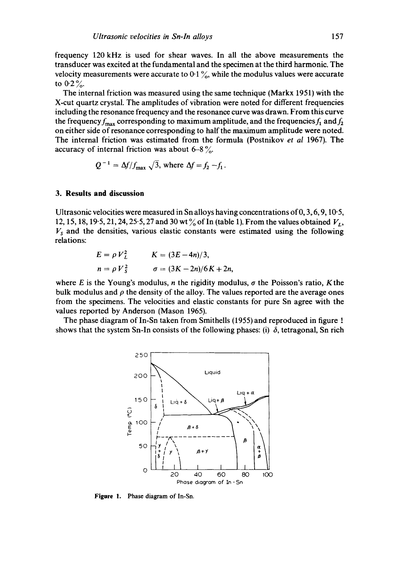frequency 120 kHz is used for shear waves. In all the above measurements the transducer was excited at the fundamental and the specimen at the third harmonic. The velocity measurements were accurate to  $0.1\%$ , while the modulus values were accurate to  $0.2\%$ .

The internal friction was measured using the same technique (Markx 1951) with the X-cut quartz crystal. The amplitudes of vibration were noted for different frequencies including the resonance frequency and the resonance curve was drawn. From this curve the frequency  $f_{\text{max}}$  corresponding to maximum amplitude, and the frequencies  $f_1$  and  $f_2$ on either side of resonance corresponding to half the maximum amplitude were noted. The internal friction was estimated from the formula (Postnikov *et al* 1967). The accuracy of internal friction was about  $6-8\%$ .

$$
Q^{-1} = \Delta f / f_{\text{max}} \sqrt{3}, \text{ where } \Delta f = f_2 - f_1.
$$

### **3. Results and discussion**

Ultrasonic velocities were measured in Sn alloys having concentrations of  $0, 3, 6, 9, 10.5$ , 12, 15, 18, 19.5, 21, 24, 25.5, 27 and 30 wt  $\%$  of In (table 1). From the values obtained  $V_1$ ,  $V<sub>s</sub>$  and the densities, various elastic constants were estimated using the following relations:

$$
E = \rho V_L^2 \qquad K = (3E - 4n)/3,
$$
  
\n
$$
n = \rho V_S^2 \qquad \sigma = (3K - 2n)/6K + 2n,
$$

where E is the Young's modulus, n the rigidity modulus,  $\sigma$  the Poisson's ratio, K the bulk modulus and  $\rho$  the density of the alloy. The values reported are the average ones from the specimens. The velocities and elastic constants for pure Sn agree with the values reported by Anderson (Mason 1965).

The phase diagram of In-Sn taken from Smithells (1955) and reproduced in figure 1 shows that the system Sn-In consists of the following phases: (i)  $\delta$ , tetragonal, Sn rich



Figure 1. Phase diagram of In-Sn.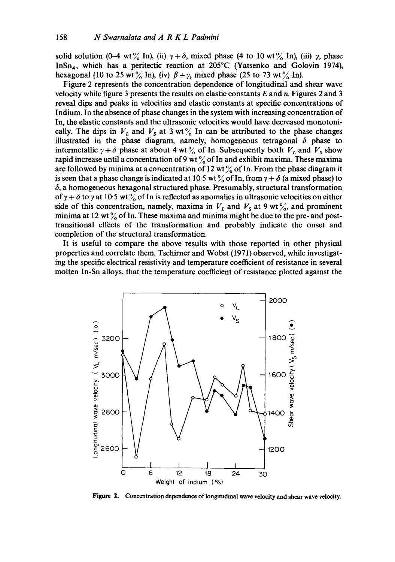solid solution (0-4 wt  $\frac{6}{6}$  In), (ii)  $\gamma + \delta$ , mixed phase (4 to 10 wt  $\frac{6}{6}$  In), (iii)  $\gamma$ , phase InSn<sub>4</sub>, which has a peritectic reaction at 205<sup>o</sup>C (Yatsenko and Golovin 1974), hexagonal (10 to 25 wt% In), (iv)  $\beta + \gamma$ , mixed phase (25 to 73 wt% In).

Figure 2 represents the concentration dependence of longitudinal and shear wave velocity while figure 3 presents the results on elastic constants  $E$  and  $n$ . Figures 2 and 3 reveal dips and peaks in velocities and elastic constants at specific concentrations of Indium. In the absence of phase changes in the system with increasing concentration of In, the elastic constants and the ultrasonic velocities would have decreased monotonically. The dips in  $V_L$  and  $V_S$  at 3 wt  $\frac{6}{6}$  In can be attributed to the phase changes illustrated in the phase diagram, namely, homogeneous tetragonal  $\delta$  phase to intermetallic  $\gamma + \delta$  phase at about 4 wt  $\frac{6}{10}$  of In. Subsequently both  $V_L$  and  $V_S$  show rapid increase until a concentration of 9 wt  $\%$  of In and exhibit maxima. These maxima are followed by minima at a concentration of 12 wt  $\%$  of In. From the phase diagram it is seen that a phase change is indicated at 10.5 wt % of In, from  $\gamma + \delta$  (a mixed phase) to  $\delta$ , a homogeneous hexagonal structured phase. Presumably, structural transformation of  $\gamma + \delta$  to  $\gamma$  at 10.5 wt % of In is reflected as anomalies in ultrasonic velocities on either side of this concentration, namely, maxima in  $V<sub>L</sub>$  and  $V<sub>S</sub>$  at 9 wt%, and prominent minima at 12 wt  $\frac{9}{6}$  of In. These maxima and minima might be due to the pre- and posttransitional effects of the transformation and probably indicate the onset and completion of the structural transformation.

It is useful to compare the above results with those reported in other physical properties and correlate them. Tschirner and Wobst (1971) observed, while investigating the specific electrical resistivity and temperature coefficient of resistance in several molten In-Sn alloys, that the temperature coefficient of resistance plotted against the



Figure 2. Concentration dependence of longitudinal wave velocity and shear wave velocity.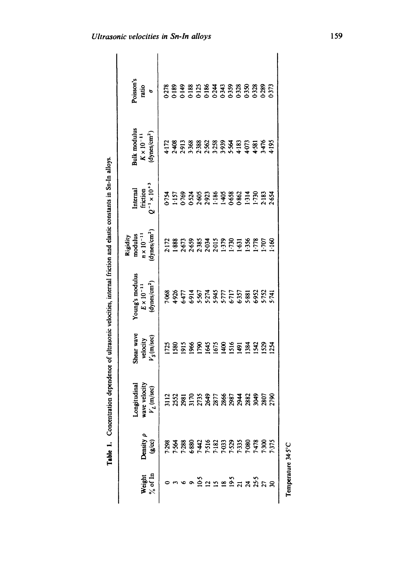| $\ddot{\phantom{a}}$ |
|----------------------|
|                      |
|                      |
|                      |
|                      |
|                      |
|                      |
|                      |
| I                    |

| Poisson's<br>ratio<br>$\ddot{\phantom{0}}$                                | <b>ESPERITS EN 2019</b><br>CONTROLS ESPERADO DE 2019<br>CONTROLS EN 2019 EN 2019 |              |                                                                                         |               |               |  |                   |      |              |                    |         |              |
|---------------------------------------------------------------------------|----------------------------------------------------------------------------------|--------------|-----------------------------------------------------------------------------------------|---------------|---------------|--|-------------------|------|--------------|--------------------|---------|--------------|
| Bulk modulus<br>$K \times 10^{-11}$<br>(dynes/cm <sup>2</sup> )           |                                                                                  |              |                                                                                         |               |               |  |                   |      |              |                    |         |              |
| Internal<br>friction<br>$Q^{-1} \times 10^{+3}$                           |                                                                                  |              |                                                                                         |               |               |  |                   |      |              |                    |         |              |
| dynes/cm <sup>2</sup> )<br>Rigidity<br>modulus<br>$n \times 10^{-11}$     |                                                                                  |              | 2:172<br>1.888<br>1.8659<br>2.659<br>2.634<br>2.637<br>2.631<br>2.632<br>1.536<br>1.536 |               |               |  |                   |      |              | 5778               | $100 -$ | 1:160        |
| Young's modulus<br>$E \times 10^{-11}$<br>$\frac{dy_{\text{ness}}}{cm^2}$ |                                                                                  |              |                                                                                         |               |               |  |                   |      |              |                    |         |              |
| shear wave<br>velocity<br>$V_S(m/sec)$                                    |                                                                                  | 1725<br>1580 | $\frac{15}{10}$                                                                         | $\frac{8}{6}$ | $\frac{8}{2}$ |  | <b>355</b><br>355 | 1516 | 1491<br>1384 | $\frac{542}{5}$    |         | IS29<br>I254 |
| ttudinal<br>velocity<br>m/sec)<br>ເອກ<br>ເ<br>wave<br>$V_L$ (             |                                                                                  |              |                                                                                         |               |               |  |                   |      |              |                    |         | 2790         |
| $\lambda$ ensity $\rho$<br>(g/xc)                                         |                                                                                  |              |                                                                                         |               |               |  |                   |      |              |                    |         |              |
| Veight                                                                    |                                                                                  |              |                                                                                         |               |               |  |                   |      |              | ຈິຕິຕາສິຕິ ສຸກົລ ສ |         |              |

Temperature 34.5°C Temperature 34.5°C

ities in Sn-In allovs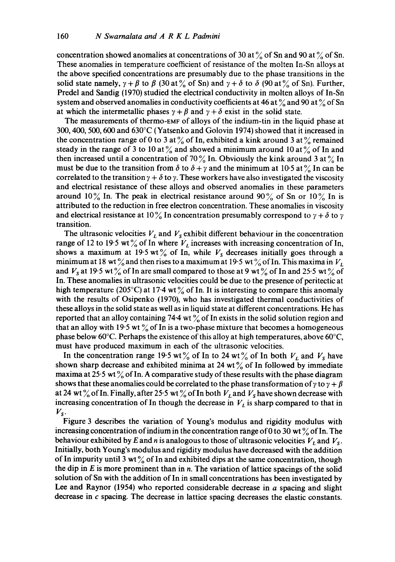concentration showed anomalies at concentrations of 30 at  $\%$  of Sn and 90 at  $\%$  of Sn. These anomalies in temperature coefficient of resistance of the molten In-Sn alloys at the above specified concentrations are presumably due to the phase transitions in the solid state namely,  $\gamma + \beta$  to  $\beta$  (30 at  $\%$  of Sn) and  $\gamma + \delta$  to  $\delta$  (90 at  $\%$  of Sn). Further, Predel and Sandig (1970) studied the electrical conductivity in molten alloys of In-Sn system and observed anomalies in conductivity coefficients at 46 at  $\%$  and 90 at  $\%$  of Sn at which the intermetallic phases  $\gamma + \beta$  and  $\gamma + \delta$  exist in the solid state.

The measurements of thermo-EMF of alloys of the indium-tin in the liquid phase at 300, 400, 500, 600 and 630°C (Yatsenko and Golovin 1974) showed that it increased in the concentration range of 0 to 3 at  $\%$  of In, exhibited a kink around 3 at  $\%$  remained steady in the range of 3 to 10 at  $\%$  and showed a minimum around 10 at  $\%$  of In and then increased until a concentration of 70% In. Obviously the kink around 3 at  $\%$  In must be due to the transition from  $\delta$  to  $\delta + \gamma$  and the minimum at 10-5 at  $\%$  In can be correlated to the transition  $\gamma + \delta$  to  $\gamma$ . These workers have also investigated the viscosity and electrical resistance of these alloys and observed anomalies in these parameters around 10% In. The peak in electrical resistance around 90% of Sn or 10% In is attributed to the reduction in free electron concentration. These anomalies in viscosity and electrical resistance at 10% In concentration presumably correspond to  $\gamma + \delta$  to  $\gamma$ transition.

The ultrasonic velocities  $V_L$  and  $V_s$  exhibit different behaviour in the concentration range of 12 to 19.5 wt% of In where  $V_L$  increases with increasing concentration of In, shows a maximum at 19.5 wt% of In, while  $V_s$  decreases initially goes through a minimum at 18 wt  $\%$  and then rises to a maximum at 19.5 wt  $\%$  of In. This maxima in  $V_L$ and  $V_s$  at 19.5 wt  $\%$  of In are small compared to those at 9 wt  $\%$  of In and 25.5 wt  $\%$  of In. These anomalies in ultrasonic velocities could be due to the presence of peritectic at high temperature (205°C) at 17.4 wt  $\%$  of In. It is interesting to compare this anomaly with the results of Osipenko (1970), who has investigated thermal conductivities of these alloys in the solid state as well as in liquid state at different concentrations. He has reported that an alloy containing 74.4 wt  $\%$  of In exists in the solid solution region and that an alloy with 19.5 wt  $\frac{9}{6}$  of In is a two-phase mixture that becomes a homogeneous phase below 60 $\degree$ C. Perhaps the existence of this alloy at high temperatures, above 60 $\degree$ C, must have produced maximum in each of the ultrasonic velocities.

In the concentration range 19.5 wt% of In to 24 wt% of In both  $V_L$  and  $V_S$  have shown sharp decrease and exhibited minima at 24 wt  $\%$  of In followed by immediate maxima at 25.5 wt  $\%$  of In. A comparative study of these results with the phase diagram shows that these anomalies could be correlated to the phase transformation of  $\gamma$  to  $\gamma + \beta$ at 24 wt  $\%$  of In. Finally, after 25.5 wt  $\%$  of In both  $V_L$  and  $V_S$  have shown decrease with increasing concentration of In though the decrease in  $V<sub>L</sub>$  is sharp compared to that in  $V_{s}$ .

Figure 3 describes the variation of Young's modulus and rigidity modulus with increasing concentration of indium in the concentration range of 0 to 30 wt  $\%$  of In. The behaviour exhibited by E and *n* is analogous to those of ultrasonic velocities  $V_L$  and  $V_S$ . Initially, both Young's modulus and rigidity modulus have decreased with the addition of In impurity until 3 wt  $\frac{1}{6}$  of In and exhibited dips at the same concentration, though the dip in  $E$  is more prominent than in  $n$ . The variation of lattice spacings of the solid solution of Sn with the addition of In in small concentrations has been investigated by Lee and Raynor (1954) who reported considerable decrease in a spacing and slight decrease in c spacing. The decrease in lattice spacing decreases the elastic constants.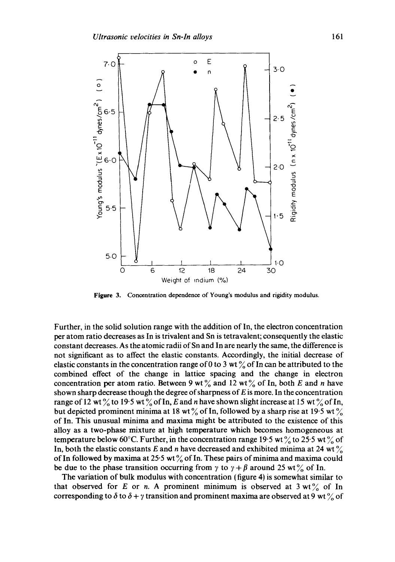

**Figure** 3. Concentration dependence of Young's modulus and rigidity modulus.

Further, in the solid solution range with the addition of In, the electron concentration per atom ratio decreases as In is trivalent and Sn is tetravalent; consequently the elastic constant decreases. As the atomic radii of Sn and In are nearly the same, the difference is not significant as to affect the elastic constants. Accordingly, the initial decrease of elastic constants in the concentration range of 0 to 3 wt  $\frac{9}{6}$  of In can be attributed to the combined effect of the change in lattice spacing and the change in electron concentration per atom ratio. Between 9 wt  $\frac{6}{6}$  and 12 wt  $\frac{6}{6}$  of In, both E and n have shown sharp decrease though the degree of sharpness of  $E$  is more. In the concentration range of 12 wt  $\%$  to 19.5 wt  $\%$  of In, E and n have shown slight increase at 15 wt  $\%$  of In, but depicted prominent minima at 18 wt  $\%$  of In, followed by a sharp rise at 19.5 wt  $\%$ of In. This unusual minima and maxima might be attributed to the existence of this alloy as a two-phase mixture at high temperature which becomes homogeneous at temperature below 60°C. Further, in the concentration range 19.5 wt  $\frac{9}{6}$  to 25.5 wt  $\frac{9}{6}$  of In, both the elastic constants E and n have decreased and exhibited minima at 24 wt  $\%$ of In followed by maxima at 25.5 wt  $\%$  of In. These pairs of minima and maxima could be due to the phase transition occurring from  $\gamma$  to  $\gamma + \beta$  around 25 wt  $\frac{\gamma}{\alpha}$  of In.

The variation of bulk modulus with concentration (figure 4) is somewhat similar to that observed for E or n. A prominent minimum is observed at  $3 \text{ wt\%}$  of In corresponding to  $\delta$  to  $\delta + \gamma$  transition and prominent maxima are observed at 9 wt  $\%$  of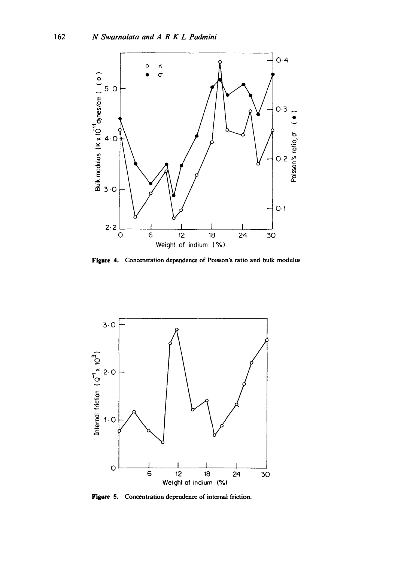

**Figure 4. Concentration dependence of Poisson's ratio and bulk modulus** 



**Figure 5. Concentration dependence of internal friction.**